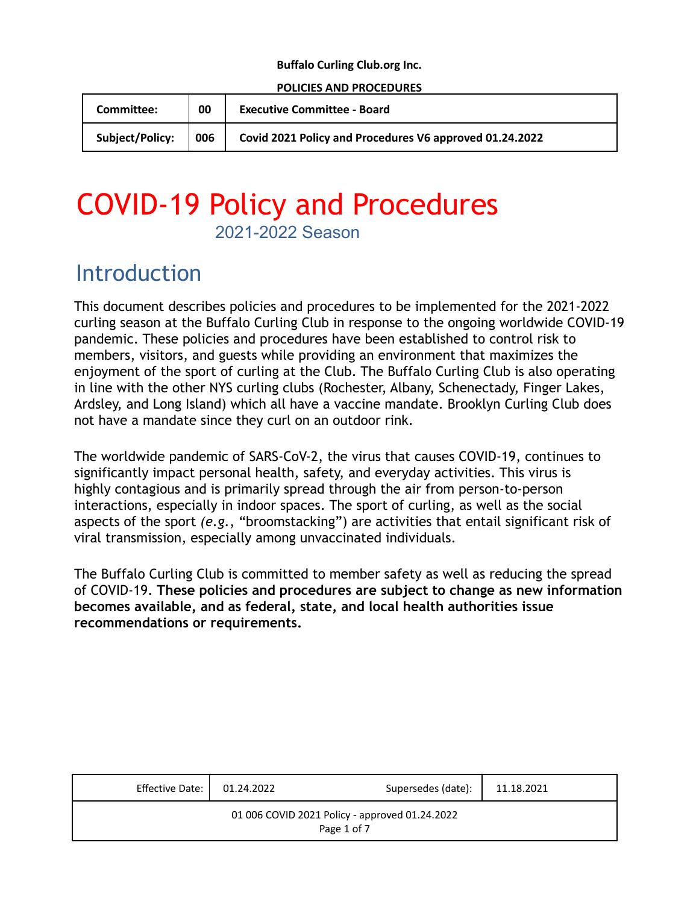#### **Buffalo Curling Club.org Inc.**

#### **POLICIES AND PROCEDURES**

| <b>Committee:</b> | 00 | <b>Executive Committee - Board</b>                                            |  |
|-------------------|----|-------------------------------------------------------------------------------|--|
|                   |    | Subject/Policy: 006   Covid 2021 Policy and Procedures V6 approved 01.24.2022 |  |

## COVID-19 Policy and Procedures 2021-2022 Season

### Introduction

This document describes policies and procedures to be implemented for the 2021-2022 curling season at the Buffalo Curling Club in response to the ongoing worldwide COVID-19 pandemic. These policies and procedures have been established to control risk to members, visitors, and guests while providing an environment that maximizes the enjoyment of the sport of curling at the Club. The Buffalo Curling Club is also operating in line with the other NYS curling clubs (Rochester, Albany, Schenectady, Finger Lakes, Ardsley, and Long Island) which all have a vaccine mandate. Brooklyn Curling Club does not have a mandate since they curl on an outdoor rink.

The worldwide pandemic of SARS-CoV-2, the virus that causes COVID-19, continues to significantly impact personal health, safety, and everyday activities. This virus is highly contagious and is primarily spread through the air from person-to-person interactions, especially in indoor spaces. The sport of curling, as well as the social aspects of the sport *(e.g.*, "broomstacking") are activities that entail significant risk of viral transmission, especially among unvaccinated individuals.

The Buffalo Curling Club is committed to member safety as well as reducing the spread of COVID-19. **These policies and procedures are subject to change as new information becomes available, and as federal, state, and local health authorities issue recommendations or requirements.**

| Effective Date: 01.24.2022                                    |  | Supersedes (date): | 11.18.2021 |  |  |  |
|---------------------------------------------------------------|--|--------------------|------------|--|--|--|
| 01 006 COVID 2021 Policy - approved 01.24.2022<br>Page 1 of 7 |  |                    |            |  |  |  |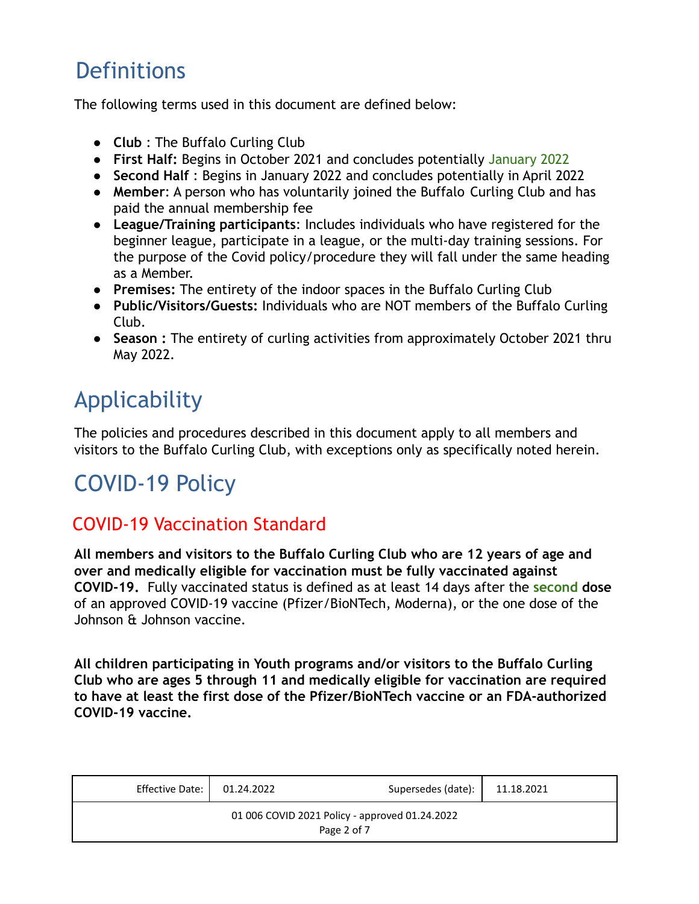# **Definitions**

The following terms used in this document are defined below:

- **Club** : The Buffalo Curling Club
- **First Half:** Begins in October 2021 and concludes potentially January 2022
- **Second Half** : Begins in January 2022 and concludes potentially in April 2022
- **Member**: A person who has voluntarily joined the Buffalo Curling Club and has paid the annual membership fee
- **League/Training participants**: Includes individuals who have registered for the beginner league, participate in a league, or the multi-day training sessions. For the purpose of the Covid policy/procedure they will fall under the same heading as a Member.
- **Premises:** The entirety of the indoor spaces in the Buffalo Curling Club
- **Public/Visitors/Guests:** Individuals who are NOT members of the Buffalo Curling Club.
- **Season :** The entirety of curling activities from approximately October 2021 thru May 2022.

# Applicability

The policies and procedures described in this document apply to all members and visitors to the Buffalo Curling Club, with exceptions only as specifically noted herein.

# COVID-19 Policy

### COVID-19 Vaccination Standard

**All members and visitors to the Buffalo Curling Club who are 12 years of age and over and medically eligible for vaccination must be fully vaccinated against COVID-19.** Fully vaccinated status is defined as at least 14 days after the **second dose** of an approved COVID-19 vaccine (Pfizer/BioNTech, Moderna), or the one dose of the Johnson & Johnson vaccine.

**All children participating in Youth programs and/or visitors to the Buffalo Curling Club who are ages 5 through 11 and medically eligible for vaccination are required to have at least the first dose of the Pfizer/BioNTech vaccine or an FDA-authorized COVID-19 vaccine.**

| Effective Date:                                               | 01.24.2022 | Supersedes (date): | 11.18.2021 |  |  |  |
|---------------------------------------------------------------|------------|--------------------|------------|--|--|--|
| 01 006 COVID 2021 Policy - approved 01.24.2022<br>Page 2 of 7 |            |                    |            |  |  |  |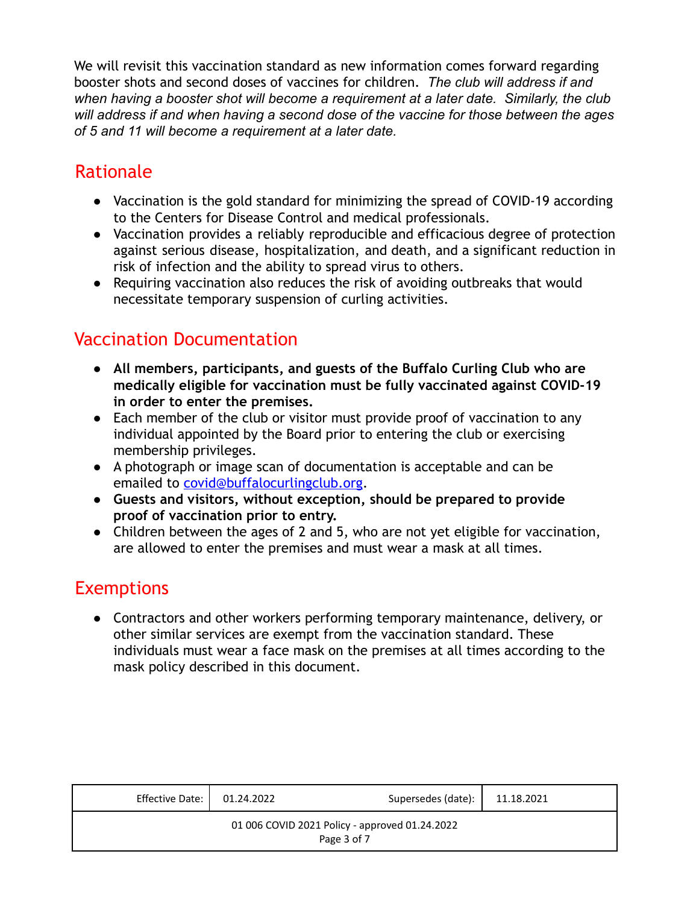We will revisit this vaccination standard as new information comes forward regarding booster shots and second doses of vaccines for children. *The club will address if and when having a booster shot will become a requirement at a later date. Similarly, the club will address if and when having a second dose of the vaccine for those between the ages of 5 and 11 will become a requirement at a later date.*

### Rationale

- Vaccination is the gold standard for minimizing the spread of COVID-19 according to the Centers for Disease Control and medical professionals.
- Vaccination provides a reliably reproducible and efficacious degree of protection against serious disease, hospitalization, and death, and a significant reduction in risk of infection and the ability to spread virus to others.
- Requiring vaccination also reduces the risk of avoiding outbreaks that would necessitate temporary suspension of curling activities.

### Vaccination Documentation

- **● All members, participants, and guests of the Buffalo Curling Club who are medically eligible for vaccination must be fully vaccinated against COVID-19 in order to enter the premises.**
- Each member of the club or visitor must provide proof of vaccination to any individual appointed by the Board prior to entering the club or exercising membership privileges.
- A photograph or image scan of documentation is acceptable and can be emailed to covid@buffalocurlingclub.org.
- **Guests and visitors, without exception, should be prepared to provide proof of vaccination prior to entry.**
- Children between the ages of 2 and 5, who are not yet eligible for vaccination, are allowed to enter the premises and must wear a mask at all times.

### **Exemptions**

● Contractors and other workers performing temporary maintenance, delivery, or other similar services are exempt from the vaccination standard. These individuals must wear a face mask on the premises at all times according to the mask policy described in this document.

| Effective Date: I | 01.24.2022 | Supersedes (date):                                            | 11.18.2021 |
|-------------------|------------|---------------------------------------------------------------|------------|
|                   |            | 01 006 COVID 2021 Policy - approved 01.24.2022<br>Page 3 of 7 |            |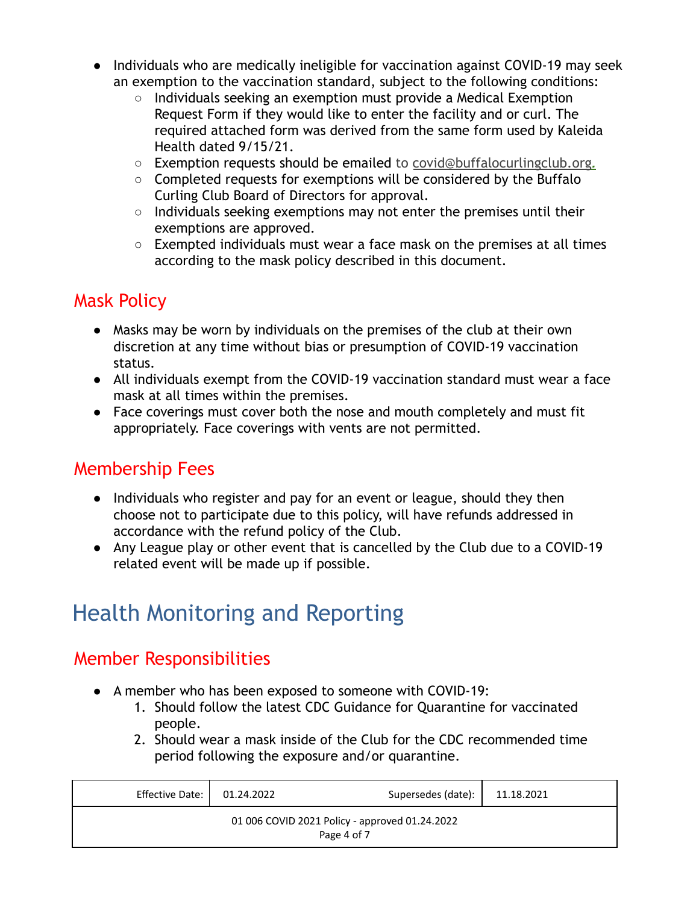- Individuals who are medically ineligible for vaccination against COVID-19 may seek an exemption to the vaccination standard, subject to the following conditions:
	- $\circ$  Individuals seeking an exemption must provide a Medical Exemption Request Form if they would like to enter the facility and or curl. The required attached form was derived from the same form used by Kaleida Health dated 9/15/21.
	- Exemption requests should be emailed to covid@buffalocurlingclub.org*.*
	- $\circ$  Completed requests for exemptions will be considered by the Buffalo Curling Club Board of Directors for approval.
	- $\circ$  Individuals seeking exemptions may not enter the premises until their exemptions are approved.
	- $\circ$  Exempted individuals must wear a face mask on the premises at all times according to the mask policy described in this document.

### Mask Policy

- Masks may be worn by individuals on the premises of the club at their own discretion at any time without bias or presumption of COVID-19 vaccination status.
- All individuals exempt from the COVID-19 vaccination standard must wear a face mask at all times within the premises.
- Face coverings must cover both the nose and mouth completely and must fit appropriately. Face coverings with vents are not permitted.

### Membership Fees

- Individuals who register and pay for an event or league, should they then choose not to participate due to this policy, will have refunds addressed in accordance with the refund policy of the Club.
- Any League play or other event that is cancelled by the Club due to a COVID-19 related event will be made up if possible.

# Health Monitoring and Reporting

### Member Responsibilities

- A member who has been exposed to someone with COVID-19:
	- 1. Should follow the latest CDC Guidance for Quarantine for vaccinated people.
	- 2. Should wear a mask inside of the Club for the CDC recommended time period following the exposure and/or quarantine.

| Effective Date:                                               | 01.24.2022 | Supersedes (date): | 11.18.2021 |  |  |  |
|---------------------------------------------------------------|------------|--------------------|------------|--|--|--|
| 01 006 COVID 2021 Policy - approved 01.24.2022<br>Page 4 of 7 |            |                    |            |  |  |  |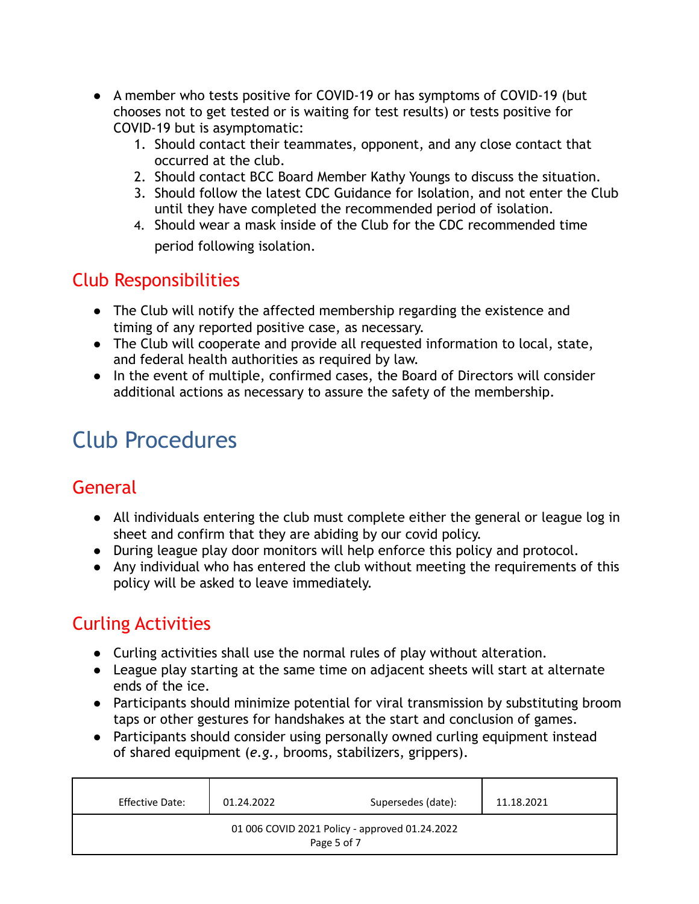- A member who tests positive for COVID-19 or has symptoms of COVID-19 (but chooses not to get tested or is waiting for test results) or tests positive for COVID-19 but is asymptomatic:
	- 1. Should contact their teammates, opponent, and any close contact that occurred at the club.
	- 2. Should contact BCC Board Member Kathy Youngs to discuss the situation.
	- 3. Should follow the latest CDC Guidance for Isolation, and not enter the Club until they have completed the recommended period of isolation.
	- 4. Should wear a mask inside of the Club for the CDC recommended time period following isolation.

#### Club Responsibilities

- The Club will notify the affected membership regarding the existence and timing of any reported positive case, as necessary.
- The Club will cooperate and provide all requested information to local, state, and federal health authorities as required by law.
- In the event of multiple, confirmed cases, the Board of Directors will consider additional actions as necessary to assure the safety of the membership.

# Club Procedures

### General

- All individuals entering the club must complete either the general or league log in sheet and confirm that they are abiding by our covid policy.
- During league play door monitors will help enforce this policy and protocol.
- Any individual who has entered the club without meeting the requirements of this policy will be asked to leave immediately.

### Curling Activities

- Curling activities shall use the normal rules of play without alteration.
- League play starting at the same time on adjacent sheets will start at alternate ends of the ice.
- Participants should minimize potential for viral transmission by substituting broom taps or other gestures for handshakes at the start and conclusion of games.
- Participants should consider using personally owned curling equipment instead of shared equipment (*e.g.,* brooms, stabilizers, grippers).

| Effective Date:                                               | 01.24.2022 | Supersedes (date): | 11.18.2021 |  |  |
|---------------------------------------------------------------|------------|--------------------|------------|--|--|
| 01 006 COVID 2021 Policy - approved 01.24.2022<br>Page 5 of 7 |            |                    |            |  |  |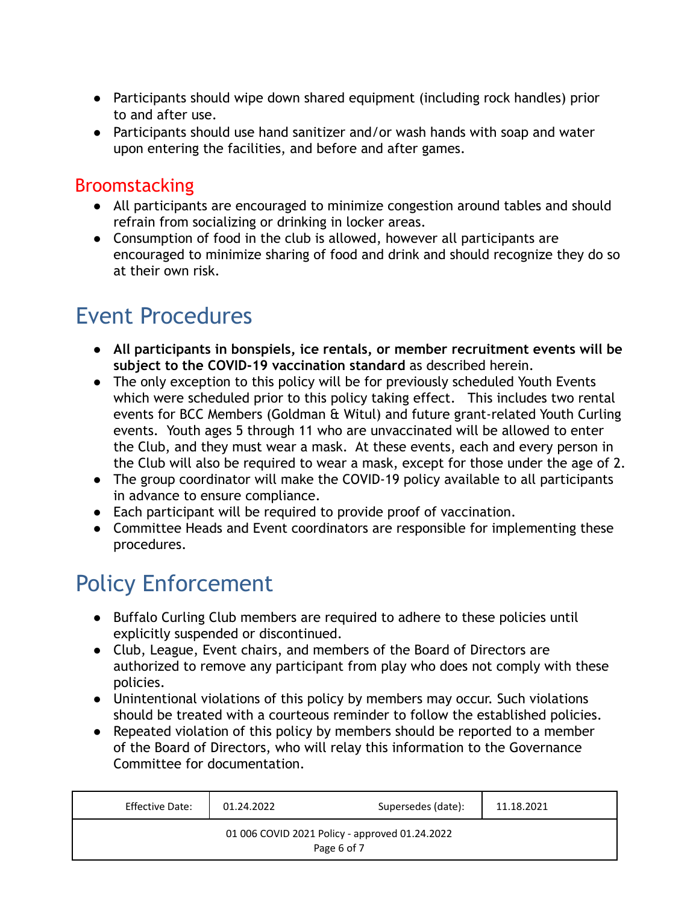- Participants should wipe down shared equipment (including rock handles) prior to and after use.
- Participants should use hand sanitizer and/or wash hands with soap and water upon entering the facilities, and before and after games.

#### Broomstacking

- All participants are encouraged to minimize congestion around tables and should refrain from socializing or drinking in locker areas.
- Consumption of food in the club is allowed, however all participants are encouraged to minimize sharing of food and drink and should recognize they do so at their own risk.

## Event Procedures

- **All participants in bonspiels, ice rentals, or member recruitment events will be subject to the COVID-19 vaccination standard** as described herein.
- The only exception to this policy will be for previously scheduled Youth Events which were scheduled prior to this policy taking effect. This includes two rental events for BCC Members (Goldman & Witul) and future grant-related Youth Curling events. Youth ages 5 through 11 who are unvaccinated will be allowed to enter the Club, and they must wear a mask. At these events, each and every person in the Club will also be required to wear a mask, except for those under the age of 2.
- The group coordinator will make the COVID-19 policy available to all participants in advance to ensure compliance.
- Each participant will be required to provide proof of vaccination.
- Committee Heads and Event coordinators are responsible for implementing these procedures.

# Policy Enforcement

- Buffalo Curling Club members are required to adhere to these policies until explicitly suspended or discontinued.
- Club, League, Event chairs, and members of the Board of Directors are authorized to remove any participant from play who does not comply with these policies.
- Unintentional violations of this policy by members may occur. Such violations should be treated with a courteous reminder to follow the established policies.
- Repeated violation of this policy by members should be reported to a member of the Board of Directors, who will relay this information to the Governance Committee for documentation.

| Effective Date: | 01.24.2022 | Supersedes (date):                                            | 11.18.2021 |
|-----------------|------------|---------------------------------------------------------------|------------|
|                 |            | 01 006 COVID 2021 Policy - approved 01.24.2022<br>Page 6 of 7 |            |